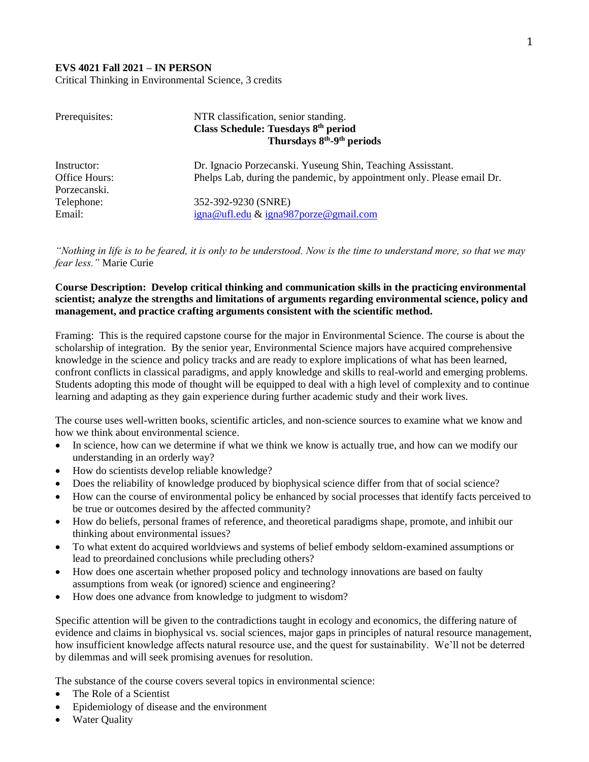## **EVS 4021 Fall 2021 – IN PERSON**

Critical Thinking in Environmental Science, 3 credits

| Prerequisites: | NTR classification, senior standing.                                   |
|----------------|------------------------------------------------------------------------|
|                | Class Schedule: Tuesdays 8 <sup>th</sup> period                        |
|                | Thursdays 8 <sup>th</sup> -9 <sup>th</sup> periods                     |
| Instructor:    | Dr. Ignacio Porzecanski. Yuseung Shin, Teaching Assisstant.            |
| Office Hours:  | Phelps Lab, during the pandemic, by appointment only. Please email Dr. |
| Porzecanski.   |                                                                        |
| Telephone:     | 352-392-9230 (SNRE)                                                    |
| Email:         | igna@ufl.edu & igna987porze@gmail.com                                  |

*"Nothing in life is to be feared, it is only to be understood. Now is the time to understand more, so that we may fear less."* Marie Curie

## **Course Description: Develop critical thinking and communication skills in the practicing environmental scientist; analyze the strengths and limitations of arguments regarding environmental science, policy and management, and practice crafting arguments consistent with the scientific method.**

Framing: This is the required capstone course for the major in Environmental Science. The course is about the scholarship of integration. By the senior year, Environmental Science majors have acquired comprehensive knowledge in the science and policy tracks and are ready to explore implications of what has been learned, confront conflicts in classical paradigms, and apply knowledge and skills to real-world and emerging problems. Students adopting this mode of thought will be equipped to deal with a high level of complexity and to continue learning and adapting as they gain experience during further academic study and their work lives.

The course uses well-written books, scientific articles, and non-science sources to examine what we know and how we think about environmental science.

- In science, how can we determine if what we think we know is actually true, and how can we modify our understanding in an orderly way?
- How do scientists develop reliable knowledge?
- Does the reliability of knowledge produced by biophysical science differ from that of social science?
- How can the course of environmental policy be enhanced by social processes that identify facts perceived to be true or outcomes desired by the affected community?
- How do beliefs, personal frames of reference, and theoretical paradigms shape, promote, and inhibit our thinking about environmental issues?
- To what extent do acquired worldviews and systems of belief embody seldom-examined assumptions or lead to preordained conclusions while precluding others?
- How does one ascertain whether proposed policy and technology innovations are based on faulty assumptions from weak (or ignored) science and engineering?
- How does one advance from knowledge to judgment to wisdom?

Specific attention will be given to the contradictions taught in ecology and economics, the differing nature of evidence and claims in biophysical vs. social sciences, major gaps in principles of natural resource management, how insufficient knowledge affects natural resource use, and the quest for sustainability. We'll not be deterred by dilemmas and will seek promising avenues for resolution.

The substance of the course covers several topics in environmental science:

- The Role of a Scientist
- Epidemiology of disease and the environment
- Water Ouality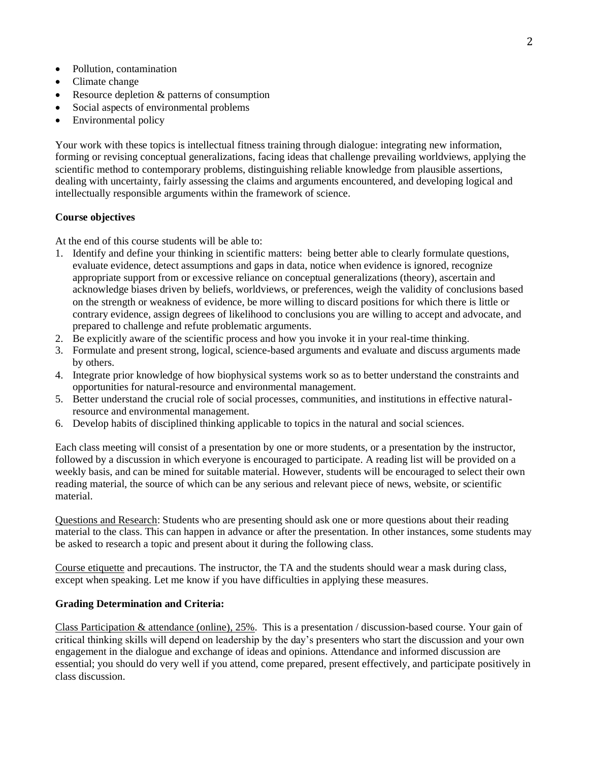- Pollution, contamination
- Climate change
- Resource depletion & patterns of consumption
- Social aspects of environmental problems
- Environmental policy

Your work with these topics is intellectual fitness training through dialogue: integrating new information, forming or revising conceptual generalizations, facing ideas that challenge prevailing worldviews, applying the scientific method to contemporary problems, distinguishing reliable knowledge from plausible assertions, dealing with uncertainty, fairly assessing the claims and arguments encountered, and developing logical and intellectually responsible arguments within the framework of science.

## **Course objectives**

At the end of this course students will be able to:

- 1. Identify and define your thinking in scientific matters: being better able to clearly formulate questions, evaluate evidence, detect assumptions and gaps in data, notice when evidence is ignored, recognize appropriate support from or excessive reliance on conceptual generalizations (theory), ascertain and acknowledge biases driven by beliefs, worldviews, or preferences, weigh the validity of conclusions based on the strength or weakness of evidence, be more willing to discard positions for which there is little or contrary evidence, assign degrees of likelihood to conclusions you are willing to accept and advocate, and prepared to challenge and refute problematic arguments.
- 2. Be explicitly aware of the scientific process and how you invoke it in your real-time thinking.
- 3. Formulate and present strong, logical, science-based arguments and evaluate and discuss arguments made by others.
- 4. Integrate prior knowledge of how biophysical systems work so as to better understand the constraints and opportunities for natural-resource and environmental management.
- 5. Better understand the crucial role of social processes, communities, and institutions in effective naturalresource and environmental management.
- 6. Develop habits of disciplined thinking applicable to topics in the natural and social sciences.

Each class meeting will consist of a presentation by one or more students, or a presentation by the instructor, followed by a discussion in which everyone is encouraged to participate. A reading list will be provided on a weekly basis, and can be mined for suitable material. However, students will be encouraged to select their own reading material, the source of which can be any serious and relevant piece of news, website, or scientific material.

Questions and Research: Students who are presenting should ask one or more questions about their reading material to the class. This can happen in advance or after the presentation. In other instances, some students may be asked to research a topic and present about it during the following class.

Course etiquette and precautions. The instructor, the TA and the students should wear a mask during class, except when speaking. Let me know if you have difficulties in applying these measures.

## **Grading Determination and Criteria:**

Class Participation & attendance (online), 25%. This is a presentation / discussion-based course. Your gain of critical thinking skills will depend on leadership by the day's presenters who start the discussion and your own engagement in the dialogue and exchange of ideas and opinions. Attendance and informed discussion are essential; you should do very well if you attend, come prepared, present effectively, and participate positively in class discussion.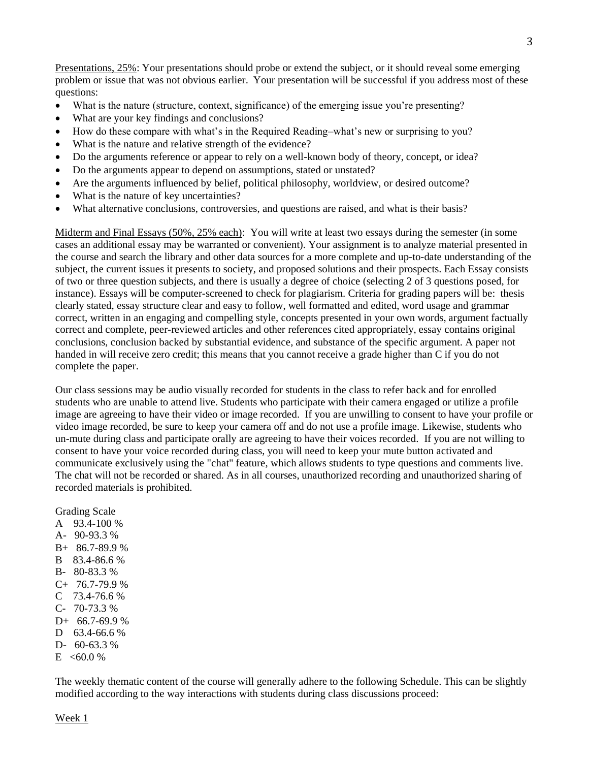Presentations, 25%: Your presentations should probe or extend the subject, or it should reveal some emerging problem or issue that was not obvious earlier. Your presentation will be successful if you address most of these questions:

- What is the nature (structure, context, significance) of the emerging issue you're presenting?
- What are your key findings and conclusions?
- How do these compare with what's in the Required Reading–what's new or surprising to you?
- What is the nature and relative strength of the evidence?
- Do the arguments reference or appear to rely on a well-known body of theory, concept, or idea?
- Do the arguments appear to depend on assumptions, stated or unstated?
- Are the arguments influenced by belief, political philosophy, worldview, or desired outcome?
- What is the nature of key uncertainties?
- What alternative conclusions, controversies, and questions are raised, and what is their basis?

Midterm and Final Essays (50%, 25% each): You will write at least two essays during the semester (in some cases an additional essay may be warranted or convenient). Your assignment is to analyze material presented in the course and search the library and other data sources for a more complete and up-to-date understanding of the subject, the current issues it presents to society, and proposed solutions and their prospects. Each Essay consists of two or three question subjects, and there is usually a degree of choice (selecting 2 of 3 questions posed, for instance). Essays will be computer-screened to check for plagiarism. Criteria for grading papers will be: thesis clearly stated, essay structure clear and easy to follow, well formatted and edited, word usage and grammar correct, written in an engaging and compelling style, concepts presented in your own words, argument factually correct and complete, peer-reviewed articles and other references cited appropriately, essay contains original conclusions, conclusion backed by substantial evidence, and substance of the specific argument. A paper not handed in will receive zero credit; this means that you cannot receive a grade higher than C if you do not complete the paper.

Our class sessions may be audio visually recorded for students in the class to refer back and for enrolled students who are unable to attend live. Students who participate with their camera engaged or utilize a profile image are agreeing to have their video or image recorded. If you are unwilling to consent to have your profile or video image recorded, be sure to keep your camera off and do not use a profile image. Likewise, students who un-mute during class and participate orally are agreeing to have their voices recorded. If you are not willing to consent to have your voice recorded during class, you will need to keep your mute button activated and communicate exclusively using the "chat" feature, which allows students to type questions and comments live. The chat will not be recorded or shared. As in all courses, unauthorized recording and unauthorized sharing of recorded materials is prohibited.

Grading Scale

- A 93.4-100 %
- A- 90-93.3 % B+ 86.7-89.9 %
- 
- B 83.4-86.6 % B- 80-83.3 %
- $C+ 76.7-79.9 %$
- $C$  73.4-76.6 %
- C- 70-73.3 %
- $D+ 66.7-69.9 %$
- D 63.4-66.6 %
- D- 60-63.3 %
- $E$  <60.0 %

The weekly thematic content of the course will generally adhere to the following Schedule. This can be slightly modified according to the way interactions with students during class discussions proceed: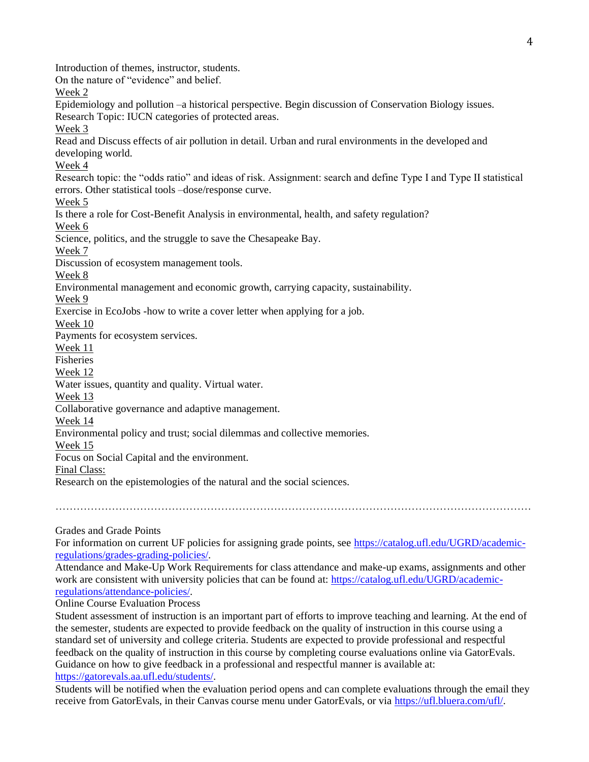Introduction of themes, instructor, students. On the nature of "evidence" and belief. Week 2 Epidemiology and pollution –a historical perspective. Begin discussion of Conservation Biology issues. Research Topic: IUCN categories of protected areas. Week 3 Read and Discuss effects of air pollution in detail. Urban and rural environments in the developed and developing world. Week 4 Research topic: the "odds ratio" and ideas of risk. Assignment: search and define Type I and Type II statistical errors. Other statistical tools –dose/response curve. Week 5 Is there a role for Cost-Benefit Analysis in environmental, health, and safety regulation? Week 6 Science, politics, and the struggle to save the Chesapeake Bay. Week 7 Discussion of ecosystem management tools. Week 8 Environmental management and economic growth, carrying capacity, sustainability. Week 9 Exercise in EcoJobs -how to write a cover letter when applying for a job. Week 10 Payments for ecosystem services. Week 11 Fisheries Week 12 Water issues, quantity and quality. Virtual water. Week 13 Collaborative governance and adaptive management. Week 14 Environmental policy and trust; social dilemmas and collective memories. Week 15 Focus on Social Capital and the environment. Final Class: Research on the epistemologies of the natural and the social sciences. ………………………………………………………………………………………………………………………

Grades and Grade Points

For information on current UF policies for assigning grade points, see [https://catalog.ufl.edu/UGRD/academic](https://catalog.ufl.edu/UGRD/academic-regulations/grades-grading-policies/)[regulations/grades-grading-policies/.](https://catalog.ufl.edu/UGRD/academic-regulations/grades-grading-policies/)

Attendance and Make-Up Work Requirements for class attendance and make-up exams, assignments and other work are consistent with university policies that can be found at: [https://catalog.ufl.edu/UGRD/academic](https://catalog.ufl.edu/UGRD/academic-regulations/attendance-policies/)[regulations/attendance-policies/.](https://catalog.ufl.edu/UGRD/academic-regulations/attendance-policies/)

Online Course Evaluation Process

Student assessment of instruction is an important part of efforts to improve teaching and learning. At the end of the semester, students are expected to provide feedback on the quality of instruction in this course using a standard set of university and college criteria. Students are expected to provide professional and respectful feedback on the quality of instruction in this course by completing course evaluations online via GatorEvals. Guidance on how to give feedback in a professional and respectful manner is available at: [https://gatorevals.aa.ufl.edu/students/.](https://gatorevals.aa.ufl.edu/students/)

Students will be notified when the evaluation period opens and can complete evaluations through the email they receive from GatorEvals, in their Canvas course menu under GatorEvals, or via [https://ufl.bluera.com/ufl/.](https://ufl.bluera.com/ufl/)